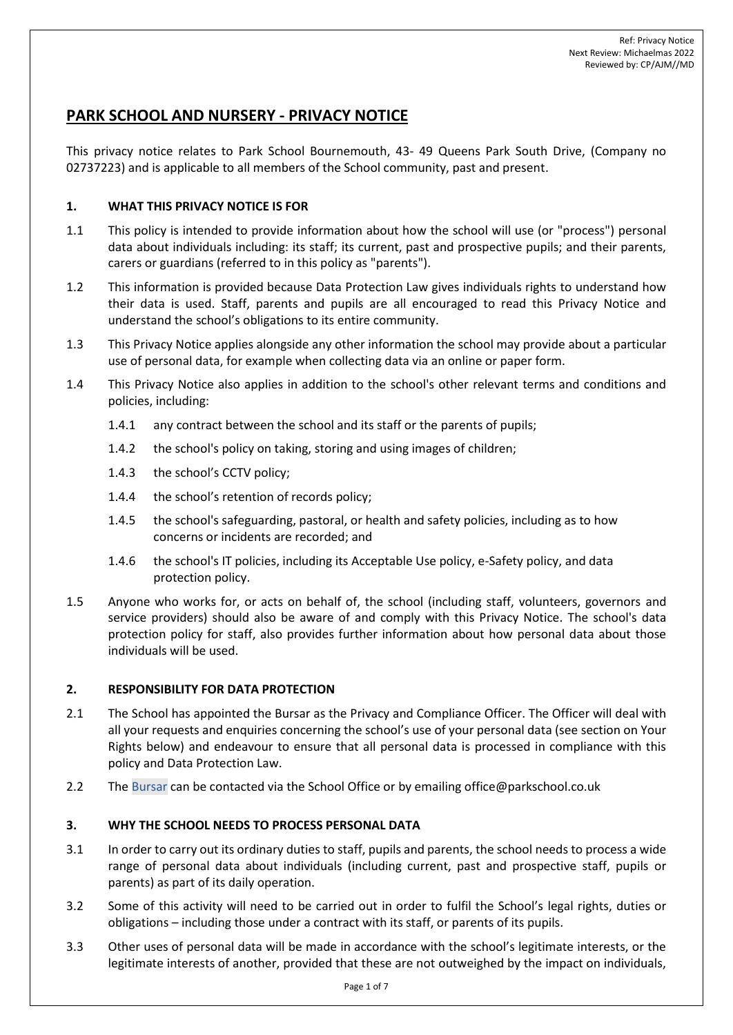# **PARK SCHOOL AND NURSERY - PRIVACY NOTICE**

This privacy notice relates to Park School Bournemouth, 43- 49 Queens Park South Drive, (Company no 02737223) and is applicable to all members of the School community, past and present.

# **1. WHAT THIS PRIVACY NOTICE IS FOR**

- 1.1 This policy is intended to provide information about how the school will use (or "process") personal data about individuals including: its staff; its current, past and prospective pupils; and their parents, carers or guardians (referred to in this policy as "parents").
- 1.2 This information is provided because Data Protection Law gives individuals rights to understand how their data is used. Staff, parents and pupils are all encouraged to read this Privacy Notice and understand the school's obligations to its entire community.
- 1.3 This Privacy Notice applies alongside any other information the school may provide about a particular use of personal data, for example when collecting data via an online or paper form.
- 1.4 This Privacy Notice also applies in addition to the school's other relevant terms and conditions and policies, including:
	- 1.4.1 any contract between the school and its staff or the parents of pupils;
	- 1.4.2 the school's policy on taking, storing and using images of children;
	- 1.4.3 the school's CCTV policy;
	- 1.4.4 the school's retention of records policy;
	- 1.4.5 the school's safeguarding, pastoral, or health and safety policies, including as to how concerns or incidents are recorded; and
	- 1.4.6 the school's IT policies, including its Acceptable Use policy, e-Safety policy, and data protection policy.
- 1.5 Anyone who works for, or acts on behalf of, the school (including staff, volunteers, governors and service providers) should also be aware of and comply with this Privacy Notice. The school's data protection policy for staff, also provides further information about how personal data about those individuals will be used.

# **2. RESPONSIBILITY FOR DATA PROTECTION**

- 2.1 The School has appointed the Bursar as the Privacy and Compliance Officer. The Officer will deal with all your requests and enquiries concerning the school's use of your personal data (see section on Your Rights below) and endeavour to ensure that all personal data is processed in compliance with this policy and Data Protection Law.
- 2.2 The Bursar can be contacted via the School Office or by emailing office@parkschool.co.uk

# **3. WHY THE SCHOOL NEEDS TO PROCESS PERSONAL DATA**

- 3.1 In order to carry out its ordinary duties to staff, pupils and parents, the school needs to process a wide range of personal data about individuals (including current, past and prospective staff, pupils or parents) as part of its daily operation.
- 3.2 Some of this activity will need to be carried out in order to fulfil the School's legal rights, duties or obligations – including those under a contract with its staff, or parents of its pupils.
- 3.3 Other uses of personal data will be made in accordance with the school's legitimate interests, or the legitimate interests of another, provided that these are not outweighed by the impact on individuals,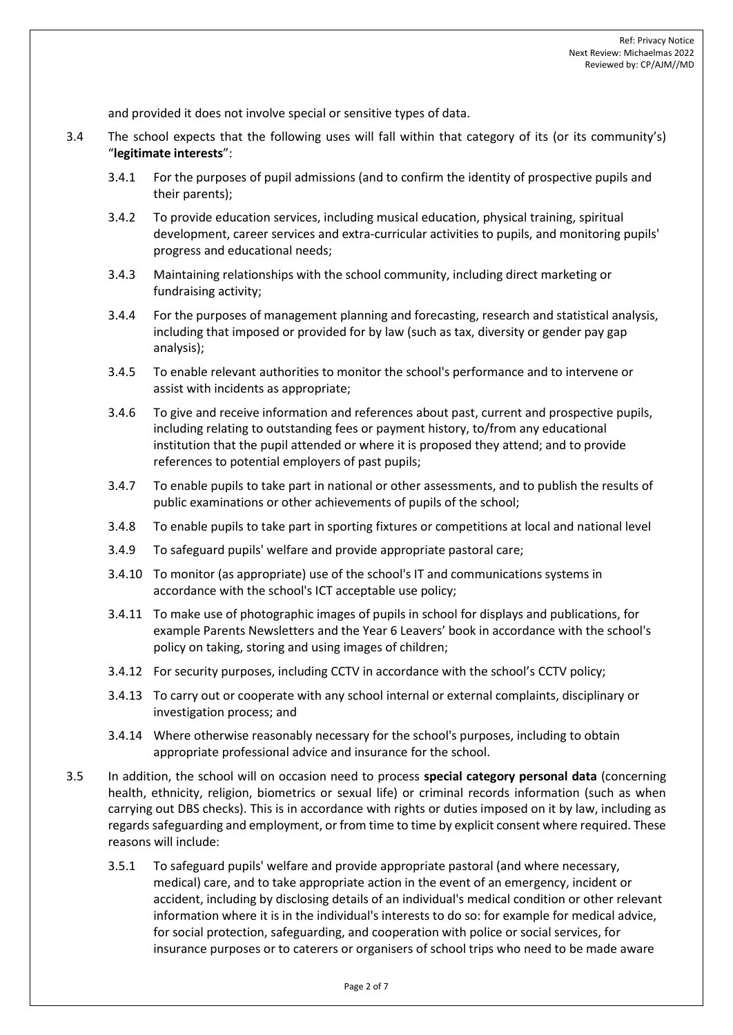and provided it does not involve special or sensitive types of data.

- 3.4 The school expects that the following uses will fall within that category of its (or its community's) "**legitimate interests**":
	- 3.4.1 For the purposes of pupil admissions (and to confirm the identity of prospective pupils and their parents);
	- 3.4.2 To provide education services, including musical education, physical training, spiritual development, career services and extra-curricular activities to pupils, and monitoring pupils' progress and educational needs;
	- 3.4.3 Maintaining relationships with the school community, including direct marketing or fundraising activity;
	- 3.4.4 For the purposes of management planning and forecasting, research and statistical analysis, including that imposed or provided for by law (such as tax, diversity or gender pay gap analysis);
	- 3.4.5 To enable relevant authorities to monitor the school's performance and to intervene or assist with incidents as appropriate;
	- 3.4.6 To give and receive information and references about past, current and prospective pupils, including relating to outstanding fees or payment history, to/from any educational institution that the pupil attended or where it is proposed they attend; and to provide references to potential employers of past pupils;
	- 3.4.7 To enable pupils to take part in national or other assessments, and to publish the results of public examinations or other achievements of pupils of the school;
	- 3.4.8 To enable pupils to take part in sporting fixtures or competitions at local and national level
	- 3.4.9 To safeguard pupils' welfare and provide appropriate pastoral care;
	- 3.4.10 To monitor (as appropriate) use of the school's IT and communications systems in accordance with the school's ICT acceptable use policy;
	- 3.4.11 To make use of photographic images of pupils in school for displays and publications, for example Parents Newsletters and the Year 6 Leavers' book in accordance with the school's policy on taking, storing and using images of children;
	- 3.4.12 For security purposes, including CCTV in accordance with the school's CCTV policy;
	- 3.4.13 To carry out or cooperate with any school internal or external complaints, disciplinary or investigation process; and
	- 3.4.14 Where otherwise reasonably necessary for the school's purposes, including to obtain appropriate professional advice and insurance for the school.
- 3.5 In addition, the school will on occasion need to process **special category personal data** (concerning health, ethnicity, religion, biometrics or sexual life) or criminal records information (such as when carrying out DBS checks). This is in accordance with rights or duties imposed on it by law, including as regards safeguarding and employment, or from time to time by explicit consent where required. These reasons will include:
	- 3.5.1 To safeguard pupils' welfare and provide appropriate pastoral (and where necessary, medical) care, and to take appropriate action in the event of an emergency, incident or accident, including by disclosing details of an individual's medical condition or other relevant information where it is in the individual's interests to do so: for example for medical advice, for social protection, safeguarding, and cooperation with police or social services, for insurance purposes or to caterers or organisers of school trips who need to be made aware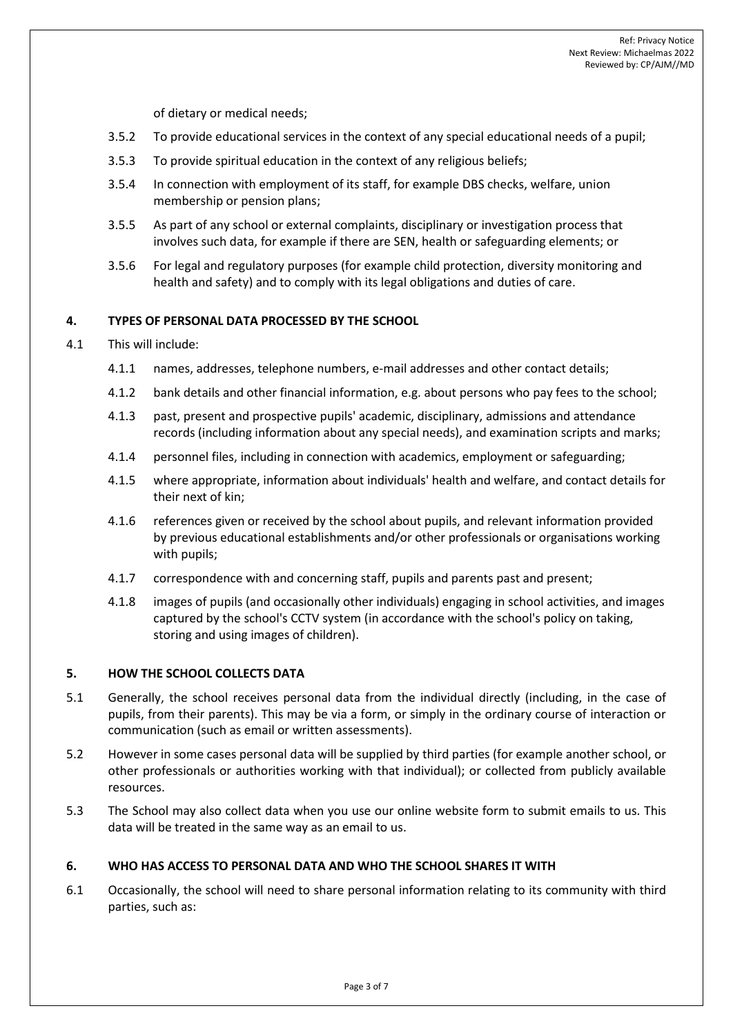of dietary or medical needs;

- 3.5.2 To provide educational services in the context of any special educational needs of a pupil;
- 3.5.3 To provide spiritual education in the context of any religious beliefs;
- 3.5.4 In connection with employment of its staff, for example DBS checks, welfare, union membership or pension plans;
- 3.5.5 As part of any school or external complaints, disciplinary or investigation process that involves such data, for example if there are SEN, health or safeguarding elements; or
- 3.5.6 For legal and regulatory purposes (for example child protection, diversity monitoring and health and safety) and to comply with its legal obligations and duties of care.

### **4. TYPES OF PERSONAL DATA PROCESSED BY THE SCHOOL**

#### 4.1 This will include:

- 4.1.1 names, addresses, telephone numbers, e-mail addresses and other contact details;
- 4.1.2 bank details and other financial information, e.g. about persons who pay fees to the school;
- 4.1.3 past, present and prospective pupils' academic, disciplinary, admissions and attendance records (including information about any special needs), and examination scripts and marks;
- 4.1.4 personnel files, including in connection with academics, employment or safeguarding;
- 4.1.5 where appropriate, information about individuals' health and welfare, and contact details for their next of kin;
- 4.1.6 references given or received by the school about pupils, and relevant information provided by previous educational establishments and/or other professionals or organisations working with pupils;
- 4.1.7 correspondence with and concerning staff, pupils and parents past and present;
- 4.1.8 images of pupils (and occasionally other individuals) engaging in school activities, and images captured by the school's CCTV system (in accordance with the school's policy on taking, storing and using images of children).

#### **5. HOW THE SCHOOL COLLECTS DATA**

- 5.1 Generally, the school receives personal data from the individual directly (including, in the case of pupils, from their parents). This may be via a form, or simply in the ordinary course of interaction or communication (such as email or written assessments).
- 5.2 However in some cases personal data will be supplied by third parties (for example another school, or other professionals or authorities working with that individual); or collected from publicly available resources.
- 5.3 The School may also collect data when you use our online website form to submit emails to us. This data will be treated in the same way as an email to us.

#### **6. WHO HAS ACCESS TO PERSONAL DATA AND WHO THE SCHOOL SHARES IT WITH**

6.1 Occasionally, the school will need to share personal information relating to its community with third parties, such as: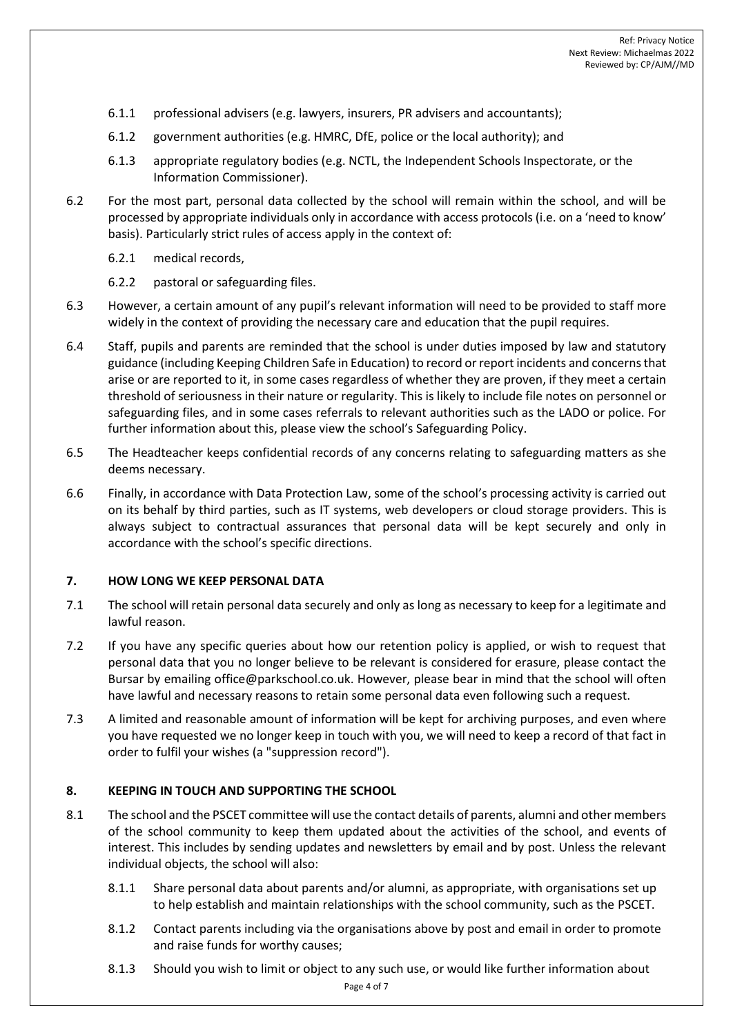- 6.1.1 professional advisers (e.g. lawyers, insurers, PR advisers and accountants);
- 6.1.2 government authorities (e.g. HMRC, DfE, police or the local authority); and
- 6.1.3 appropriate regulatory bodies (e.g. [NCTL,](https://www.gov.uk/government/organisations/national-college-for-teaching-and-leadership) the [Independent Schools Inspectorate,](https://www.isi.net/) or the Information Commissioner).
- 6.2 For the most part, personal data collected by the school will remain within the school, and will be processed by appropriate individuals only in accordance with access protocols (i.e. on a 'need to know' basis). Particularly strict rules of access apply in the context of:
	- 6.2.1 medical records,
	- 6.2.2 pastoral or safeguarding files.
- 6.3 However, a certain amount of any pupil's relevant information will need to be provided to staff more widely in the context of providing the necessary care and education that the pupil requires.
- 6.4 Staff, pupils and parents are reminded that the school is under duties imposed by law and statutory guidance (including Keeping Children Safe in Education) to record or report incidents and concerns that arise or are reported to it, in some cases regardless of whether they are proven, if they meet a certain threshold of seriousness in their nature or regularity. This is likely to include file notes on personnel or safeguarding files, and in some cases referrals to relevant authorities such as the LADO or police. For further information about this, please view the school's Safeguarding Policy.
- 6.5 The Headteacher keeps confidential records of any concerns relating to safeguarding matters as she deems necessary.
- 6.6 Finally, in accordance with Data Protection Law, some of the school's processing activity is carried out on its behalf by third parties, such as IT systems, web developers or cloud storage providers. This is always subject to contractual assurances that personal data will be kept securely and only in accordance with the school's specific directions.

# **7. HOW LONG WE KEEP PERSONAL DATA**

- 7.1 The school will retain personal data securely and only as long as necessary to keep for a legitimate and lawful reason.
- 7.2 If you have any specific queries about how our retention policy is applied, or wish to request that personal data that you no longer believe to be relevant is considered for erasure, please contact the Bursar by emailing office@parkschool.co.uk. However, please bear in mind that the school will often have lawful and necessary reasons to retain some personal data even following such a request.
- 7.3 A limited and reasonable amount of information will be kept for archiving purposes, and even where you have requested we no longer keep in touch with you, we will need to keep a record of that fact in order to fulfil your wishes (a "suppression record").

# **8. KEEPING IN TOUCH AND SUPPORTING THE SCHOOL**

- 8.1 The school and the PSCET committee will use the contact details of parents, alumni and other members of the school community to keep them updated about the activities of the school, and events of interest. This includes by sending updates and newsletters by email and by post. Unless the relevant individual objects, the school will also:
	- 8.1.1 Share personal data about parents and/or alumni, as appropriate, with organisations set up to help establish and maintain relationships with the school community, such as the PSCET.
	- 8.1.2 Contact parents including via the organisations above by post and email in order to promote and raise funds for worthy causes;
	- 8.1.3 Should you wish to limit or object to any such use, or would like further information about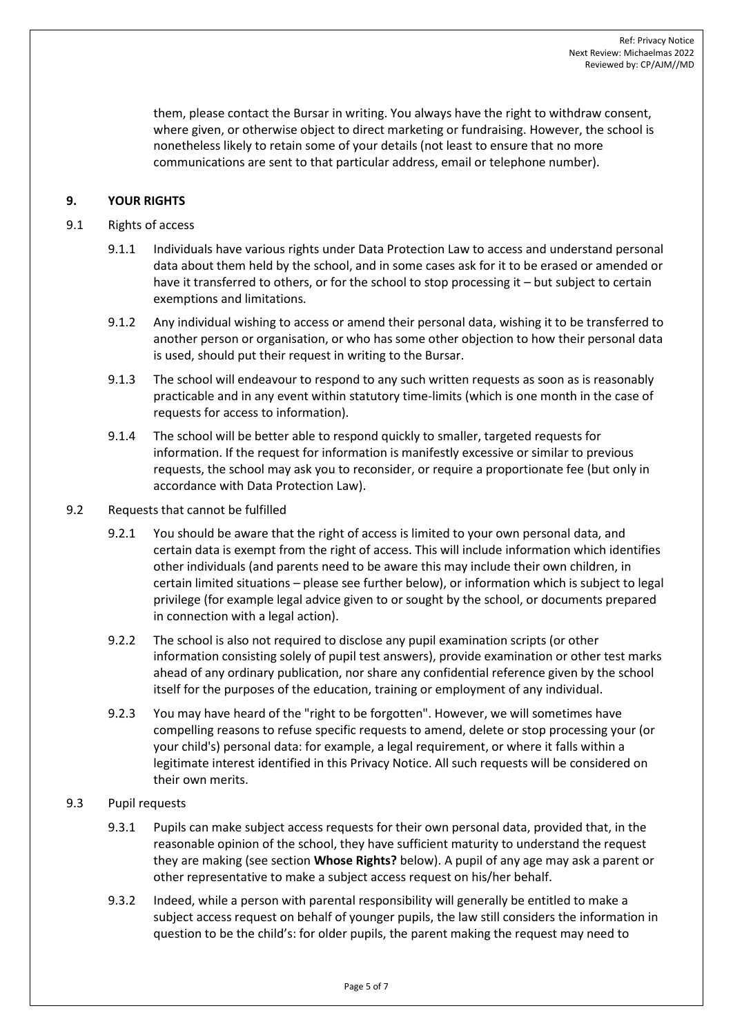them, please contact the Bursar in writing. You always have the right to withdraw consent, where given, or otherwise object to direct marketing or fundraising. However, the school is nonetheless likely to retain some of your details (not least to ensure that no more communications are sent to that particular address, email or telephone number).

# **9. YOUR RIGHTS**

# 9.1 Rights of access

- 9.1.1 Individuals have various rights under Data Protection Law to access and understand personal data about them held by the school, and in some cases ask for it to be erased or amended or have it transferred to others, or for the school to stop processing it – but subject to certain exemptions and limitations.
- 9.1.2 Any individual wishing to access or amend their personal data, wishing it to be transferred to another person or organisation, or who has some other objection to how their personal data is used, should put their request in writing to the Bursar.
- 9.1.3 The school will endeavour to respond to any such written requests as soon as is reasonably practicable and in any event within statutory time-limits (which is one month in the case of requests for access to information).
- 9.1.4 The school will be better able to respond quickly to smaller, targeted requests for information. If the request for information is manifestly excessive or similar to previous requests, the school may ask you to reconsider, or require a proportionate fee (but only in accordance with Data Protection Law).
- 9.2 Requests that cannot be fulfilled
	- 9.2.1 You should be aware that the right of access is limited to your own personal data, and certain data is exempt from the right of access. This will include information which identifies other individuals (and parents need to be aware this may include their own children, in certain limited situations – please see further below), or information which is subject to legal privilege (for example legal advice given to or sought by the school, or documents prepared in connection with a legal action).
	- 9.2.2 The school is also not required to disclose any pupil examination scripts (or other information consisting solely of pupil test answers), provide examination or other test marks ahead of any ordinary publication, nor share any confidential reference given by the school itself for the purposes of the education, training or employment of any individual.
	- 9.2.3 You may have heard of the "right to be forgotten". However, we will sometimes have compelling reasons to refuse specific requests to amend, delete or stop processing your (or your child's) personal data: for example, a legal requirement, or where it falls within a legitimate interest identified in this Privacy Notice. All such requests will be considered on their own merits.

# 9.3 Pupil requests

- 9.3.1 Pupils can make subject access requests for their own personal data, provided that, in the reasonable opinion of the school, they have sufficient maturity to understand the request they are making (see section **Whose Rights?** below). A pupil of any age may ask a parent or other representative to make a subject access request on his/her behalf.
- 9.3.2 Indeed, while a person with parental responsibility will generally be entitled to make a subject access request on behalf of younger pupils, the law still considers the information in question to be the child's: for older pupils, the parent making the request may need to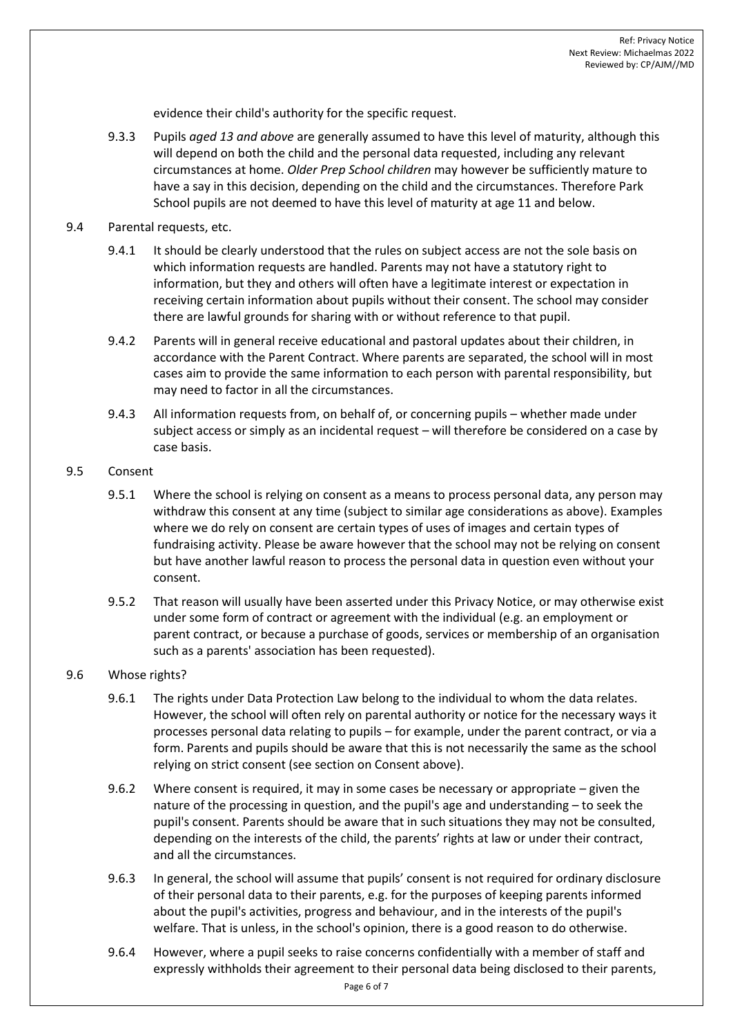evidence their child's authority for the specific request.

9.3.3 Pupils *aged 13 and above* are generally assumed to have this level of maturity, although this will depend on both the child and the personal data requested, including any relevant circumstances at home. *Older Prep School children* may however be sufficiently mature to have a say in this decision, depending on the child and the circumstances. Therefore Park School pupils are not deemed to have this level of maturity at age 11 and below.

# 9.4 Parental requests, etc.

- 9.4.1 It should be clearly understood that the rules on subject access are not the sole basis on which information requests are handled. Parents may not have a statutory right to information, but they and others will often have a legitimate interest or expectation in receiving certain information about pupils without their consent. The school may consider there are lawful grounds for sharing with or without reference to that pupil.
- 9.4.2 Parents will in general receive educational and pastoral updates about their children, in accordance with the Parent Contract. Where parents are separated, the school will in most cases aim to provide the same information to each person with parental responsibility, but may need to factor in all the circumstances.
- 9.4.3 All information requests from, on behalf of, or concerning pupils whether made under subject access or simply as an incidental request – will therefore be considered on a case by case basis.

# 9.5 Consent

- 9.5.1 Where the school is relying on consent as a means to process personal data, any person may withdraw this consent at any time (subject to similar age considerations as above). Examples where we do rely on consent are certain types of uses of images and certain types of fundraising activity. Please be aware however that the school may not be relying on consent but have another lawful reason to process the personal data in question even without your consent.
- 9.5.2 That reason will usually have been asserted under this Privacy Notice, or may otherwise exist under some form of contract or agreement with the individual (e.g. an employment or parent contract, or because a purchase of goods, services or membership of an organisation such as a parents' association has been requested).

# 9.6 Whose rights?

- 9.6.1 The rights under Data Protection Law belong to the individual to whom the data relates. However, the school will often rely on parental authority or notice for the necessary ways it processes personal data relating to pupils – for example, under the parent contract, or via a form. Parents and pupils should be aware that this is not necessarily the same as the school relying on strict consent (see section on Consent above).
- 9.6.2 Where consent is required, it may in some cases be necessary or appropriate given the nature of the processing in question, and the pupil's age and understanding – to seek the pupil's consent. Parents should be aware that in such situations they may not be consulted, depending on the interests of the child, the parents' rights at law or under their contract, and all the circumstances.
- 9.6.3 In general, the school will assume that pupils' consent is not required for ordinary disclosure of their personal data to their parents, e.g. for the purposes of keeping parents informed about the pupil's activities, progress and behaviour, and in the interests of the pupil's welfare. That is unless, in the school's opinion, there is a good reason to do otherwise.
- 9.6.4 However, where a pupil seeks to raise concerns confidentially with a member of staff and expressly withholds their agreement to their personal data being disclosed to their parents,